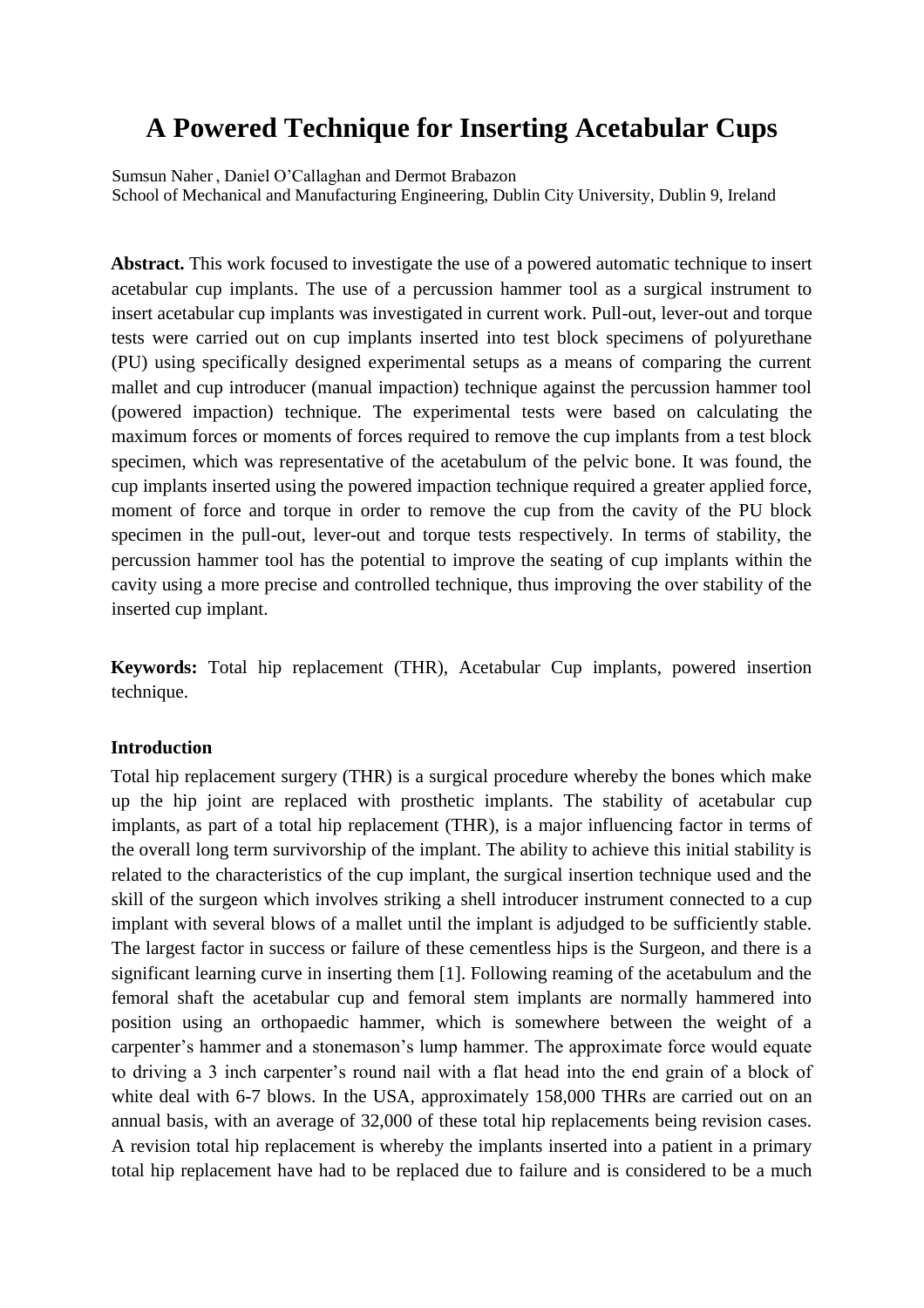# **A Powered Technique for Inserting Acetabular Cups**

Sumsun Naher , Daniel O'Callaghan and Dermot Brabazon

School of Mechanical and Manufacturing Engineering, Dublin City University, Dublin 9, Ireland

**Abstract.** This work focused to investigate the use of a powered automatic technique to insert acetabular cup implants. The use of a percussion hammer tool as a surgical instrument to insert acetabular cup implants was investigated in current work. Pull-out, lever-out and torque tests were carried out on cup implants inserted into test block specimens of polyurethane (PU) using specifically designed experimental setups as a means of comparing the current mallet and cup introducer (manual impaction) technique against the percussion hammer tool (powered impaction) technique. The experimental tests were based on calculating the maximum forces or moments of forces required to remove the cup implants from a test block specimen, which was representative of the acetabulum of the pelvic bone. It was found, the cup implants inserted using the powered impaction technique required a greater applied force, moment of force and torque in order to remove the cup from the cavity of the PU block specimen in the pull-out, lever-out and torque tests respectively. In terms of stability, the percussion hammer tool has the potential to improve the seating of cup implants within the cavity using a more precise and controlled technique, thus improving the over stability of the inserted cup implant.

**Keywords:** Total hip replacement (THR), Acetabular Cup implants, powered insertion technique.

# **Introduction**

Total hip replacement surgery (THR) is a surgical procedure whereby the bones which make up the hip joint are replaced with prosthetic implants. The stability of acetabular cup implants, as part of a total hip replacement (THR), is a major influencing factor in terms of the overall long term survivorship of the implant. The ability to achieve this initial stability is related to the characteristics of the cup implant, the surgical insertion technique used and the skill of the surgeon which involves striking a shell introducer instrument connected to a cup implant with several blows of a mallet until the implant is adjudged to be sufficiently stable. The largest factor in success or failure of these cementless hips is the Surgeon, and there is a significant learning curve in inserting them [1]. Following reaming of the acetabulum and the femoral shaft the acetabular cup and femoral stem implants are normally hammered into position using an orthopaedic hammer, which is somewhere between the weight of a carpenter's hammer and a stonemason's lump hammer. The approximate force would equate to driving a 3 inch carpenter's round nail with a flat head into the end grain of a block of white deal with 6-7 blows. In the USA, approximately 158,000 THRs are carried out on an annual basis, with an average of 32,000 of these total hip replacements being revision cases. A revision total hip replacement is whereby the implants inserted into a patient in a primary total hip replacement have had to be replaced due to failure and is considered to be a much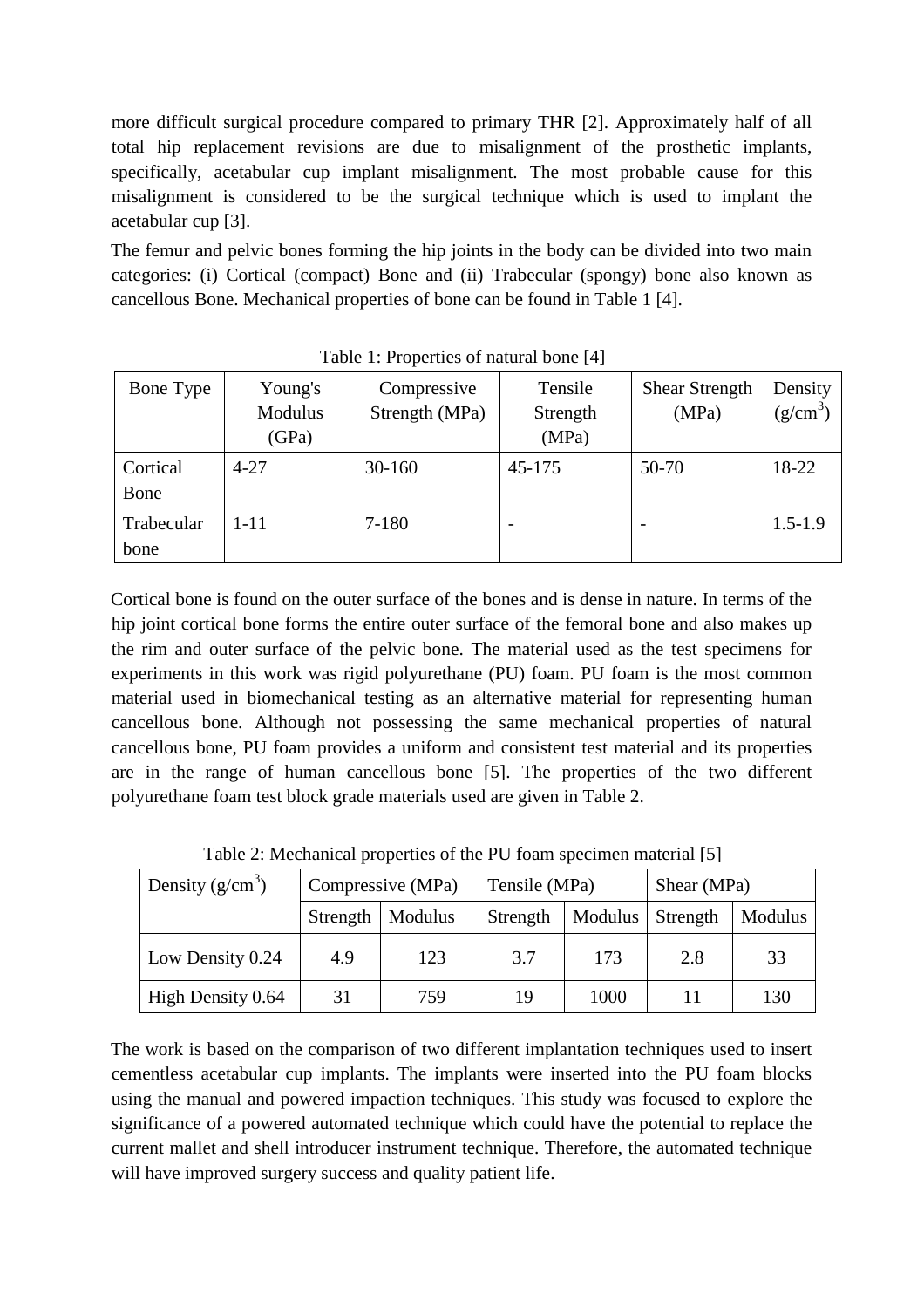more difficult surgical procedure compared to primary THR [2]. Approximately half of all total hip replacement revisions are due to misalignment of the prosthetic implants, specifically, acetabular cup implant misalignment. The most probable cause for this misalignment is considered to be the surgical technique which is used to implant the acetabular cup [3].

The femur and pelvic bones forming the hip joints in the body can be divided into two main categories: (i) Cortical (compact) Bone and (ii) Trabecular (spongy) bone also known as cancellous Bone. Mechanical properties of bone can be found in Table 1 [4].

| Bone Type  | Young's  | Compressive    | Tensile  | <b>Shear Strength</b> | Density     |
|------------|----------|----------------|----------|-----------------------|-------------|
|            | Modulus  | Strength (MPa) | Strength | (MPa)                 | $(g/cm^3)$  |
|            | (GPa)    |                | (MPa)    |                       |             |
| Cortical   | $4 - 27$ | $30 - 160$     | 45-175   | 50-70                 | 18-22       |
| Bone       |          |                |          |                       |             |
| Trabecular | 1-11     | $7 - 180$      |          |                       | $1.5 - 1.9$ |
| bone       |          |                |          |                       |             |

Table 1: Properties of natural bone [4]

Cortical bone is found on the outer surface of the bones and is dense in nature. In terms of the hip joint cortical bone forms the entire outer surface of the femoral bone and also makes up the rim and outer surface of the pelvic bone. The material used as the test specimens for experiments in this work was rigid polyurethane (PU) foam. PU foam is the most common material used in biomechanical testing as an alternative material for representing human cancellous bone. Although not possessing the same mechanical properties of natural cancellous bone, PU foam provides a uniform and consistent test material and its properties are in the range of human cancellous bone [5]. The properties of the two different polyurethane foam test block grade materials used are given in Table 2.

| Density $(g/cm^3)$ | Compressive (MPa) |         | Tensile (MPa) |         | Shear (MPa) |         |
|--------------------|-------------------|---------|---------------|---------|-------------|---------|
|                    | Strength          | Modulus | Strength      | Modulus | Strength    | Modulus |
| Low Density 0.24   | 4.9               | 123     | 3.7           | 173     | 2.8         | 33      |
| High Density 0.64  | 31                | 759     | 19            | 1000    |             | 130     |

Table 2: Mechanical properties of the PU foam specimen material [5]

The work is based on the comparison of two different implantation techniques used to insert cementless acetabular cup implants. The implants were inserted into the PU foam blocks using the manual and powered impaction techniques. This study was focused to explore the significance of a powered automated technique which could have the potential to replace the current mallet and shell introducer instrument technique. Therefore, the automated technique will have improved surgery success and quality patient life.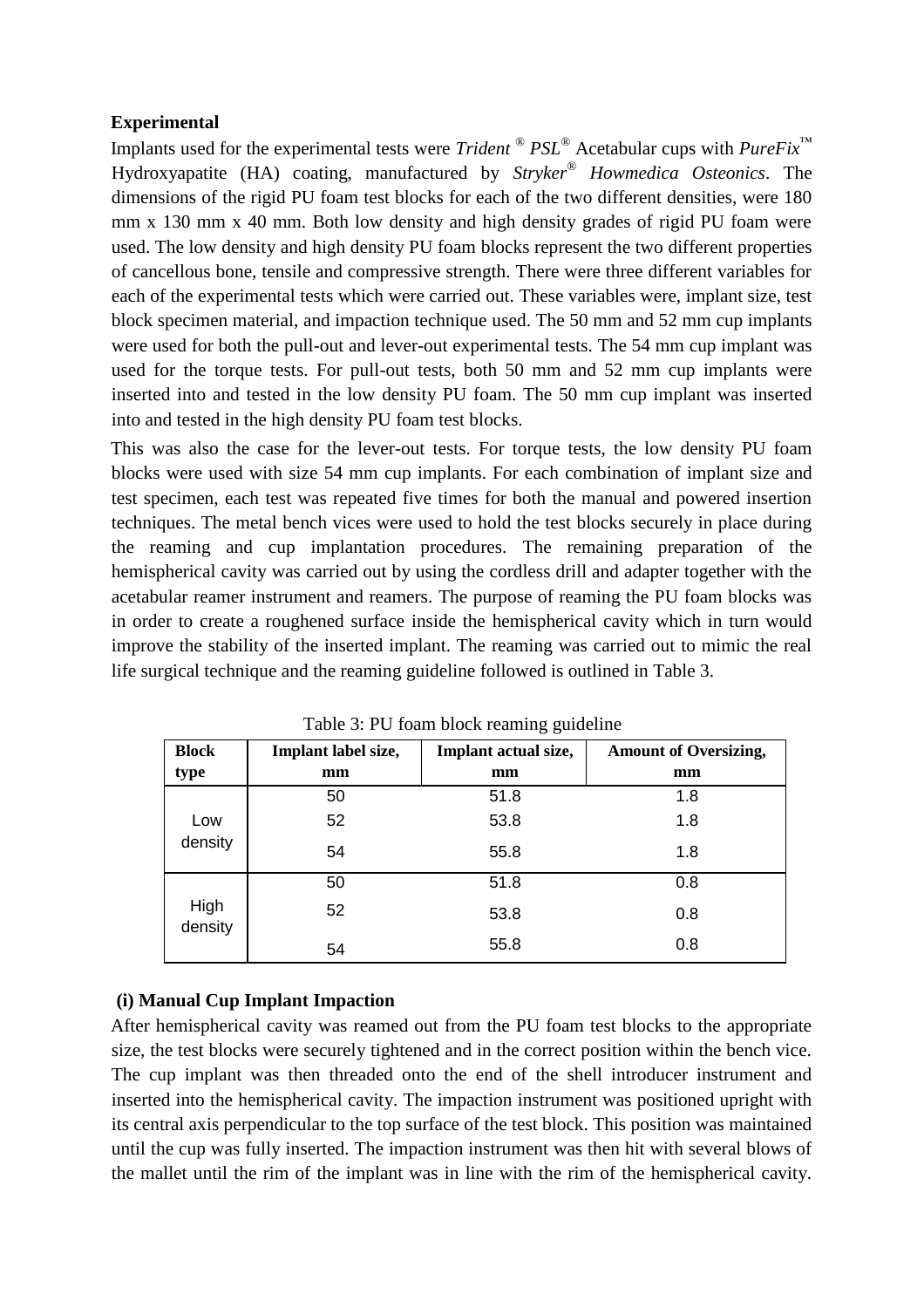# **Experimental**

Implants used for the experimental tests were *Trident ® PSL®* Acetabular cups with *PureFix*™ Hydroxyapatite (HA) coating, manufactured by *Stryker® Howmedica Osteonics*. The dimensions of the rigid PU foam test blocks for each of the two different densities, were 180 mm x 130 mm x 40 mm. Both low density and high density grades of rigid PU foam were used. The low density and high density PU foam blocks represent the two different properties of cancellous bone, tensile and compressive strength. There were three different variables for each of the experimental tests which were carried out. These variables were, implant size, test block specimen material, and impaction technique used. The 50 mm and 52 mm cup implants were used for both the pull-out and lever-out experimental tests. The 54 mm cup implant was used for the torque tests. For pull-out tests, both 50 mm and 52 mm cup implants were inserted into and tested in the low density PU foam. The 50 mm cup implant was inserted into and tested in the high density PU foam test blocks.

This was also the case for the lever-out tests. For torque tests, the low density PU foam blocks were used with size 54 mm cup implants. For each combination of implant size and test specimen, each test was repeated five times for both the manual and powered insertion techniques. The metal bench vices were used to hold the test blocks securely in place during the reaming and cup implantation procedures. The remaining preparation of the hemispherical cavity was carried out by using the cordless drill and adapter together with the acetabular reamer instrument and reamers. The purpose of reaming the PU foam blocks was in order to create a roughened surface inside the hemispherical cavity which in turn would improve the stability of the inserted implant. The reaming was carried out to mimic the real life surgical technique and the reaming guideline followed is outlined in Table 3.

| <b>Block</b>    | Implant label size, | Implant actual size, | <b>Amount of Oversizing,</b> |
|-----------------|---------------------|----------------------|------------------------------|
| type            | mm                  | mm                   | mm                           |
| Low<br>density  | 50                  | 51.8                 | 1.8                          |
|                 | 52                  | 53.8                 | 1.8                          |
|                 | 54                  | 55.8                 | 1.8                          |
| High<br>density | 50                  | 51.8                 | 0.8                          |
|                 | 52                  | 53.8                 | 0.8                          |
|                 | 54                  | 55.8                 | 0.8                          |

Table 3: PU foam block reaming guideline

# **(i) Manual Cup Implant Impaction**

After hemispherical cavity was reamed out from the PU foam test blocks to the appropriate size, the test blocks were securely tightened and in the correct position within the bench vice. The cup implant was then threaded onto the end of the shell introducer instrument and inserted into the hemispherical cavity. The impaction instrument was positioned upright with its central axis perpendicular to the top surface of the test block. This position was maintained until the cup was fully inserted. The impaction instrument was then hit with several blows of the mallet until the rim of the implant was in line with the rim of the hemispherical cavity.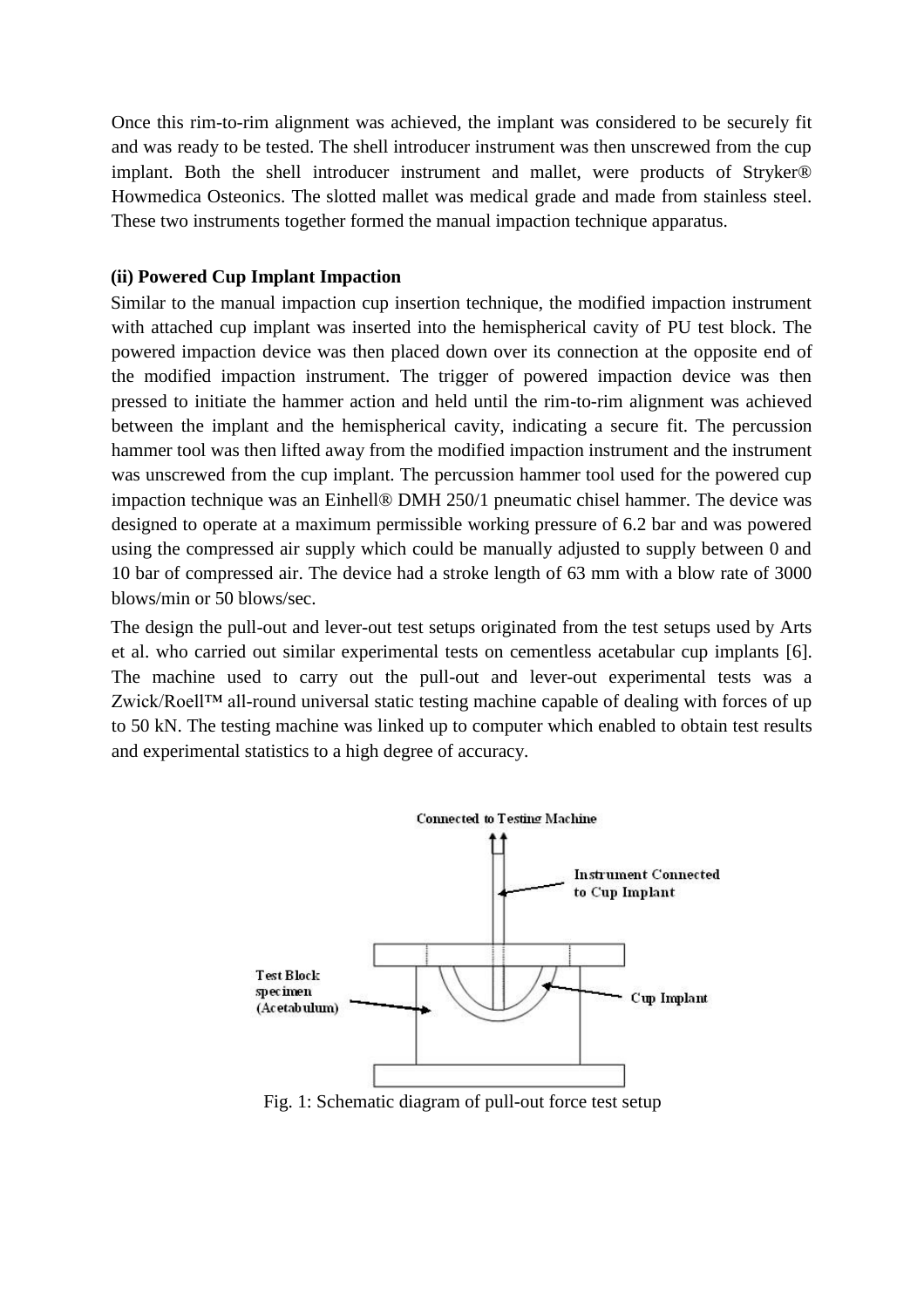Once this rim-to-rim alignment was achieved, the implant was considered to be securely fit and was ready to be tested. The shell introducer instrument was then unscrewed from the cup implant. Both the shell introducer instrument and mallet, were products of Stryker® Howmedica Osteonics. The slotted mallet was medical grade and made from stainless steel. These two instruments together formed the manual impaction technique apparatus.

#### **(ii) Powered Cup Implant Impaction**

Similar to the manual impaction cup insertion technique, the modified impaction instrument with attached cup implant was inserted into the hemispherical cavity of PU test block. The powered impaction device was then placed down over its connection at the opposite end of the modified impaction instrument. The trigger of powered impaction device was then pressed to initiate the hammer action and held until the rim-to-rim alignment was achieved between the implant and the hemispherical cavity, indicating a secure fit. The percussion hammer tool was then lifted away from the modified impaction instrument and the instrument was unscrewed from the cup implant. The percussion hammer tool used for the powered cup impaction technique was an Einhell® DMH 250/1 pneumatic chisel hammer. The device was designed to operate at a maximum permissible working pressure of 6.2 bar and was powered using the compressed air supply which could be manually adjusted to supply between 0 and 10 bar of compressed air. The device had a stroke length of 63 mm with a blow rate of 3000 blows/min or 50 blows/sec.

The design the pull-out and lever-out test setups originated from the test setups used by Arts et al. who carried out similar experimental tests on cementless acetabular cup implants [6]. The machine used to carry out the pull-out and lever-out experimental tests was a Zwick/Roell™ all-round universal static testing machine capable of dealing with forces of up to 50 kN. The testing machine was linked up to computer which enabled to obtain test results and experimental statistics to a high degree of accuracy.



Fig. 1: Schematic diagram of pull-out force test setup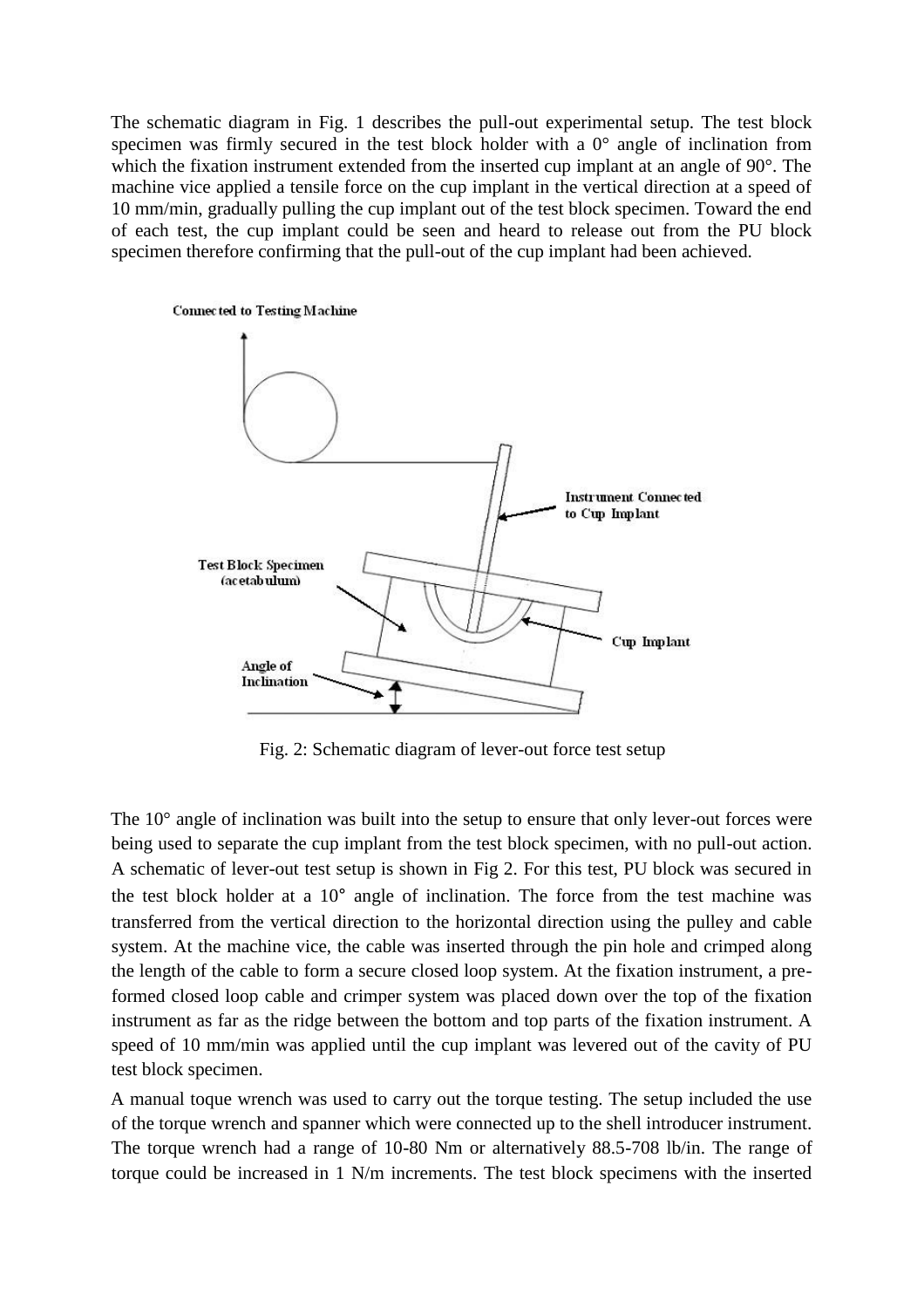The schematic diagram in Fig. 1 describes the pull-out experimental setup. The test block specimen was firmly secured in the test block holder with a 0° angle of inclination from which the fixation instrument extended from the inserted cup implant at an angle of 90°. The machine vice applied a tensile force on the cup implant in the vertical direction at a speed of 10 mm/min, gradually pulling the cup implant out of the test block specimen. Toward the end of each test, the cup implant could be seen and heard to release out from the PU block specimen therefore confirming that the pull-out of the cup implant had been achieved.



Fig. 2: Schematic diagram of lever-out force test setup

The 10<sup>°</sup> angle of inclination was built into the setup to ensure that only lever-out forces were being used to separate the cup implant from the test block specimen, with no pull-out action. A schematic of lever-out test setup is shown in Fig 2. For this test, PU block was secured in the test block holder at a 10° angle of inclination. The force from the test machine was transferred from the vertical direction to the horizontal direction using the pulley and cable system. At the machine vice, the cable was inserted through the pin hole and crimped along the length of the cable to form a secure closed loop system. At the fixation instrument, a preformed closed loop cable and crimper system was placed down over the top of the fixation instrument as far as the ridge between the bottom and top parts of the fixation instrument. A speed of 10 mm/min was applied until the cup implant was levered out of the cavity of PU test block specimen.

A manual toque wrench was used to carry out the torque testing. The setup included the use of the torque wrench and spanner which were connected up to the shell introducer instrument. The torque wrench had a range of 10-80 Nm or alternatively 88.5-708 lb/in. The range of torque could be increased in 1 N/m increments. The test block specimens with the inserted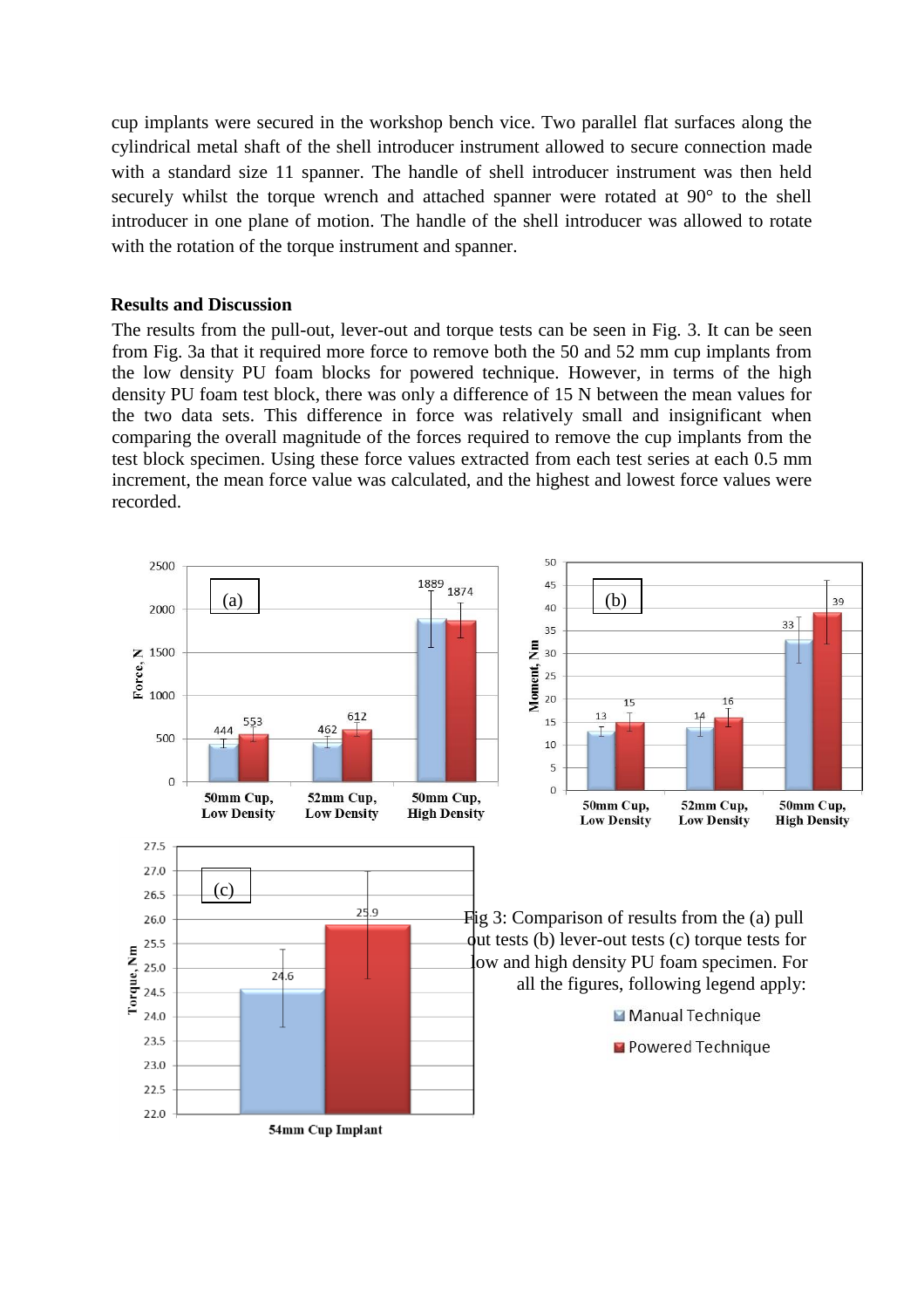cup implants were secured in the workshop bench vice. Two parallel flat surfaces along the cylindrical metal shaft of the shell introducer instrument allowed to secure connection made with a standard size 11 spanner. The handle of shell introducer instrument was then held securely whilst the torque wrench and attached spanner were rotated at 90° to the shell introducer in one plane of motion. The handle of the shell introducer was allowed to rotate with the rotation of the torque instrument and spanner.

#### **Results and Discussion**

The results from the pull-out, lever-out and torque tests can be seen in Fig. 3. It can be seen from Fig. 3a that it required more force to remove both the 50 and 52 mm cup implants from the low density PU foam blocks for powered technique. However, in terms of the high density PU foam test block, there was only a difference of 15 N between the mean values for the two data sets. This difference in force was relatively small and insignificant when comparing the overall magnitude of the forces required to remove the cup implants from the test block specimen. Using these force values extracted from each test series at each 0.5 mm increment, the mean force value was calculated, and the highest and lowest force values were recorded.

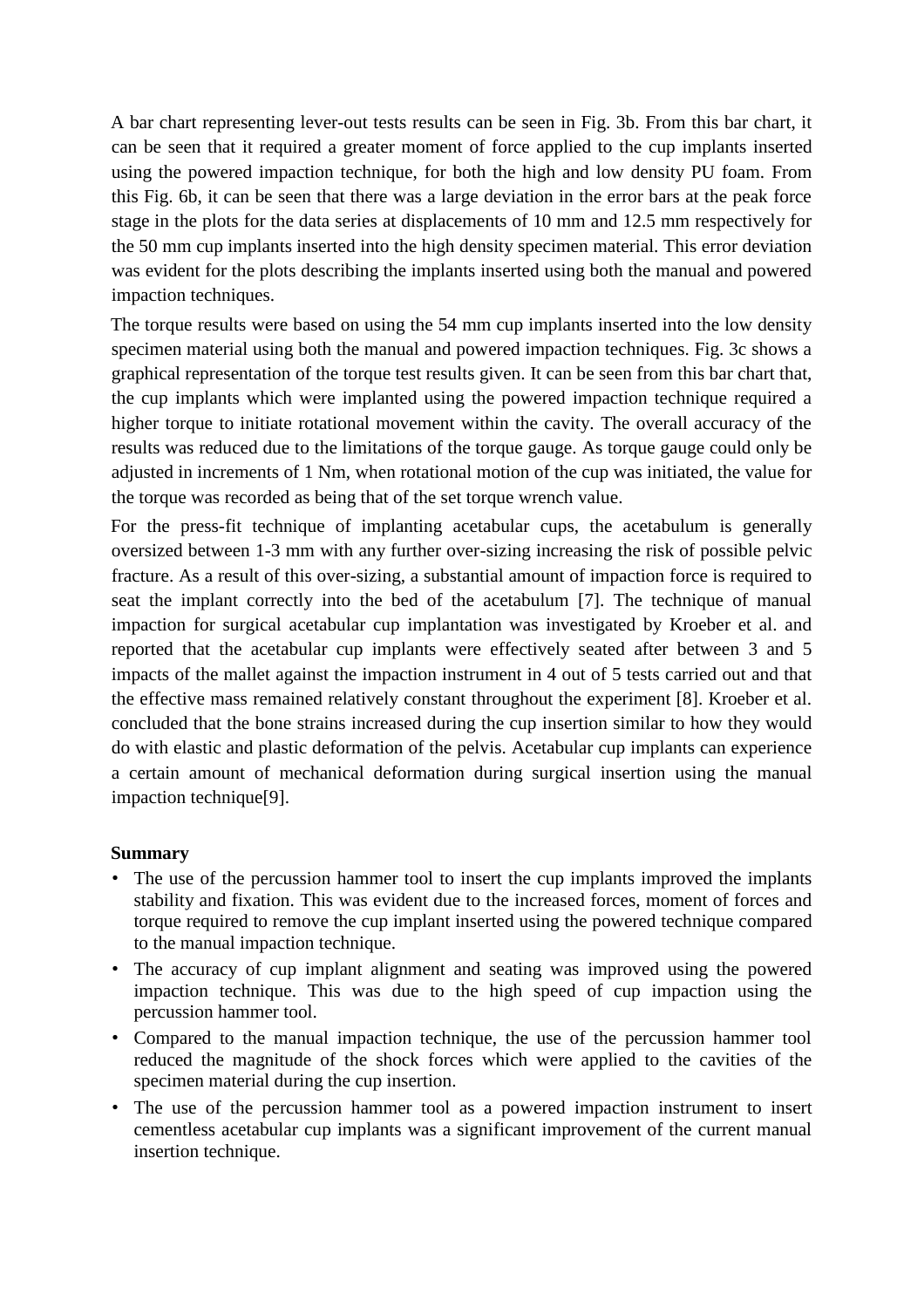A bar chart representing lever-out tests results can be seen in Fig. 3b. From this bar chart, it can be seen that it required a greater moment of force applied to the cup implants inserted using the powered impaction technique, for both the high and low density PU foam. From this Fig. 6b, it can be seen that there was a large deviation in the error bars at the peak force stage in the plots for the data series at displacements of 10 mm and 12.5 mm respectively for the 50 mm cup implants inserted into the high density specimen material. This error deviation was evident for the plots describing the implants inserted using both the manual and powered impaction techniques.

The torque results were based on using the 54 mm cup implants inserted into the low density specimen material using both the manual and powered impaction techniques. Fig. 3c shows a graphical representation of the torque test results given. It can be seen from this bar chart that, the cup implants which were implanted using the powered impaction technique required a higher torque to initiate rotational movement within the cavity. The overall accuracy of the results was reduced due to the limitations of the torque gauge. As torque gauge could only be adjusted in increments of 1 Nm, when rotational motion of the cup was initiated, the value for the torque was recorded as being that of the set torque wrench value.

For the press-fit technique of implanting acetabular cups, the acetabulum is generally oversized between 1-3 mm with any further over-sizing increasing the risk of possible pelvic fracture. As a result of this over-sizing, a substantial amount of impaction force is required to seat the implant correctly into the bed of the acetabulum [7]. The technique of manual impaction for surgical acetabular cup implantation was investigated by Kroeber et al. and reported that the acetabular cup implants were effectively seated after between 3 and 5 impacts of the mallet against the impaction instrument in 4 out of 5 tests carried out and that the effective mass remained relatively constant throughout the experiment [8]. Kroeber et al. concluded that the bone strains increased during the cup insertion similar to how they would do with elastic and plastic deformation of the pelvis. Acetabular cup implants can experience a certain amount of mechanical deformation during surgical insertion using the manual impaction technique[9].

# **Summary**

- The use of the percussion hammer tool to insert the cup implants improved the implants stability and fixation. This was evident due to the increased forces, moment of forces and torque required to remove the cup implant inserted using the powered technique compared to the manual impaction technique.
- The accuracy of cup implant alignment and seating was improved using the powered impaction technique. This was due to the high speed of cup impaction using the percussion hammer tool.
- Compared to the manual impaction technique, the use of the percussion hammer tool reduced the magnitude of the shock forces which were applied to the cavities of the specimen material during the cup insertion.
- The use of the percussion hammer tool as a powered impaction instrument to insert cementless acetabular cup implants was a significant improvement of the current manual insertion technique.